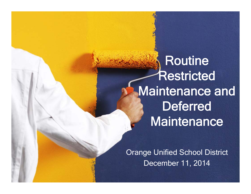**Routine** Restricted Maintenance and Deferred Maintenance

Orange Unified School District December 11, 2014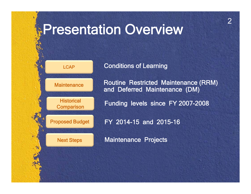### Presentation Overview



Conditions of Learning

Routine Restricted Maintenance (RRM) and Deferred Maintenance (DM)

2

Funding levels since FY 2007-2008

FY 2014-15 and 2015-16

Next Steps Maintenance Projects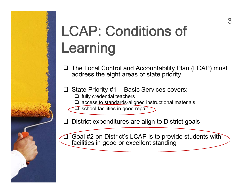# LCAP: Conditions of Learning

- **□** The Local Control and Accountability Plan (LCAP) must address the eight areas of state priority
- **□ State Priority #1 Basic Services covers:** 
	- $\Box$  fully credential teachers
	- $\square$  access to standards-aligned instructional materials
	- $\square$  school facilities in good repair

 $\Box$  District expenditures are align to District goals

 $\Box$  Goal #2 on District's LCAP is to provide students with facilities in good or excellent standing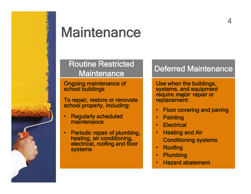

## **Maintenance**

### Routine Restricted **Maintenance**

Ongoing maintenance of school buildings

To repair, restore or renovate school property, including:

- $\bullet$  Regularly scheduled **maintenance**
- $\bullet$  Periodic repair of plumbing, heating, air conditioning, electrical, roofing and floor systems

### Deferred Maintenance

4

Use when the buildings, systems, and equipment require *major* repair or replacement:

- •Floor covering and paving
- •**Painting**
- •**Electrical**
- • Heating and Air Conditioning systems
- •Roofing
- •**Plumbing**
- •Hazard abatement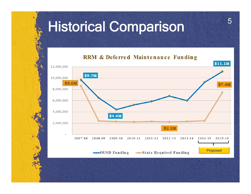### Historical Comparison



5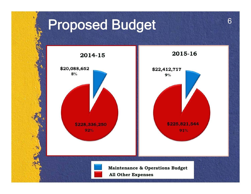